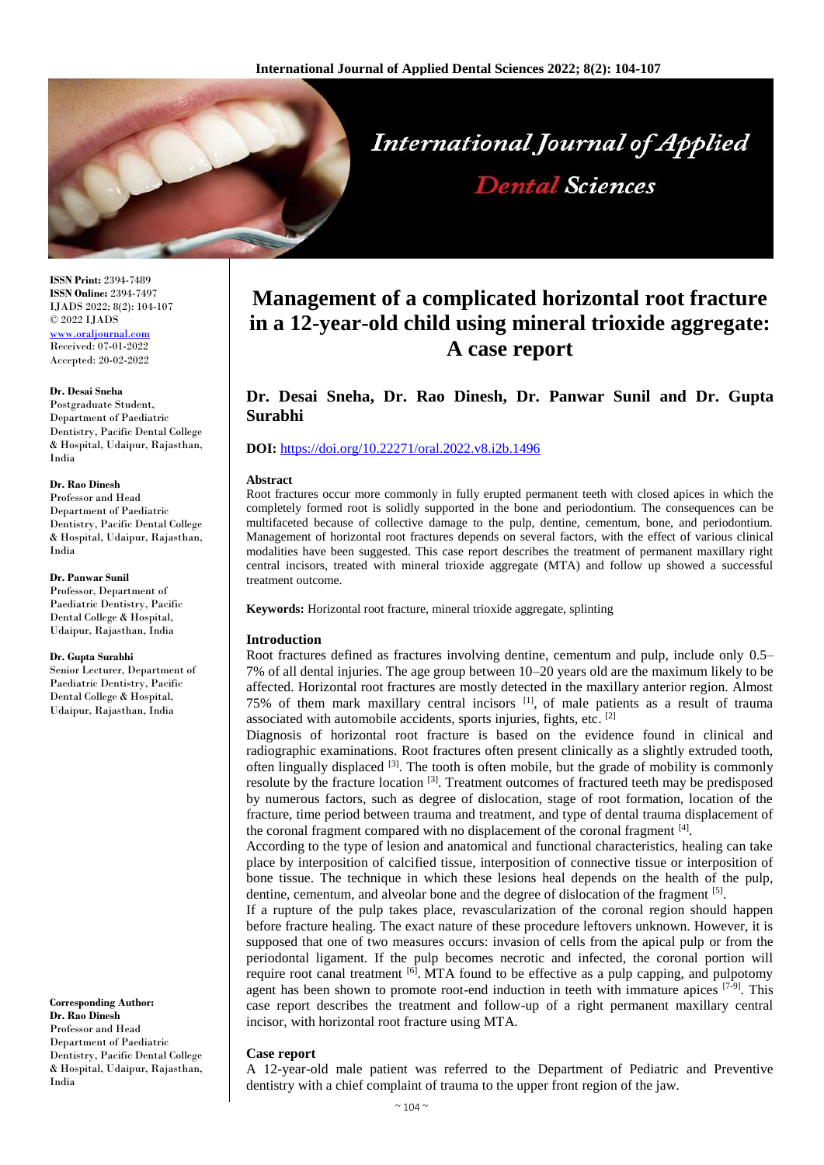

**ISSN Print:** 2394-7489 **ISSN Online:** 2394-7497 IJADS 2022; 8(2): 104-107 © 2022 IJADS [www.oraljournal.com](http://www.oraljournal.com/) Received: 07-01-2022 Accepted: 20-02-2022

#### **Dr. Desai Sneha**

Postgraduate Student, Department of Paediatric Dentistry, Pacific Dental College & Hospital, Udaipur, Rajasthan, India

### **Dr. Rao Dinesh**

Professor and Head Department of Paediatric Dentistry, Pacific Dental College & Hospital, Udaipur, Rajasthan, India

#### **Dr. Panwar Sunil**

Professor, Department of Paediatric Dentistry, Pacific Dental College & Hospital, Udaipur, Rajasthan, India

#### **Dr. Gupta Surabhi**

Senior Lecturer, Department of Paediatric Dentistry, Pacific Dental College & Hospital, Udaipur, Rajasthan, India

**Corresponding Author: Dr. Rao Dinesh** Professor and Head Department of Paediatric Dentistry, Pacific Dental College & Hospital, Udaipur, Rajasthan, India

# **Management of a complicated horizontal root fracture in a 12-year-old child using mineral trioxide aggregate: A case report**

**Dental Sciences** 

# **Dr. Desai Sneha, Dr. Rao Dinesh, Dr. Panwar Sunil and Dr. Gupta Surabhi**

# **DOI:** <https://doi.org/10.22271/oral.2022.v8.i2b.1496>

#### **Abstract**

Root fractures occur more commonly in fully erupted permanent teeth with closed apices in which the completely formed root is solidly supported in the bone and periodontium. The consequences can be multifaceted because of collective damage to the pulp, dentine, cementum, bone, and periodontium. Management of horizontal root fractures depends on several factors, with the effect of various clinical modalities have been suggested. This case report describes the treatment of permanent maxillary right central incisors, treated with mineral trioxide aggregate (MTA) and follow up showed a successful treatment outcome.

**Keywords:** Horizontal root fracture, mineral trioxide aggregate, splinting

# **Introduction**

Root fractures defined as fractures involving dentine, cementum and pulp, include only 0.5– 7% of all dental injuries. The age group between 10–20 years old are the maximum likely to be affected. Horizontal root fractures are mostly detected in the maxillary anterior region. Almost 75% of them mark maxillary central incisors [1] , of male patients as a result of trauma associated with automobile accidents, sports injuries, fights, etc. [2]

Diagnosis of horizontal root fracture is based on the evidence found in clinical and radiographic examinations. Root fractures often present clinically as a slightly extruded tooth, often lingually displaced  $[3]$ . The tooth is often mobile, but the grade of mobility is commonly resolute by the fracture location [3]. Treatment outcomes of fractured teeth may be predisposed by numerous factors, such as degree of dislocation, stage of root formation, location of the fracture, time period between trauma and treatment, and type of dental trauma displacement of the coronal fragment compared with no displacement of the coronal fragment [4].

According to the type of lesion and anatomical and functional characteristics, healing can take place by interposition of calcified tissue, interposition of connective tissue or interposition of bone tissue. The technique in which these lesions heal depends on the health of the pulp, dentine, cementum, and alveolar bone and the degree of dislocation of the fragment [5].

If a rupture of the pulp takes place, revascularization of the coronal region should happen before fracture healing. The exact nature of these procedure leftovers unknown. However, it is supposed that one of two measures occurs: invasion of cells from the apical pulp or from the periodontal ligament. If the pulp becomes necrotic and infected, the coronal portion will require root canal treatment <sup>[6]</sup>. MTA found to be effective as a pulp capping, and pulpotomy agent has been shown to promote root-end induction in teeth with immature apices  $[7-9]$ . This case report describes the treatment and follow-up of a right permanent maxillary central incisor, with horizontal root fracture using MTA.

#### **Case report**

A 12-year-old male patient was referred to the Department of Pediatric and Preventive dentistry with a chief complaint of trauma to the upper front region of the jaw.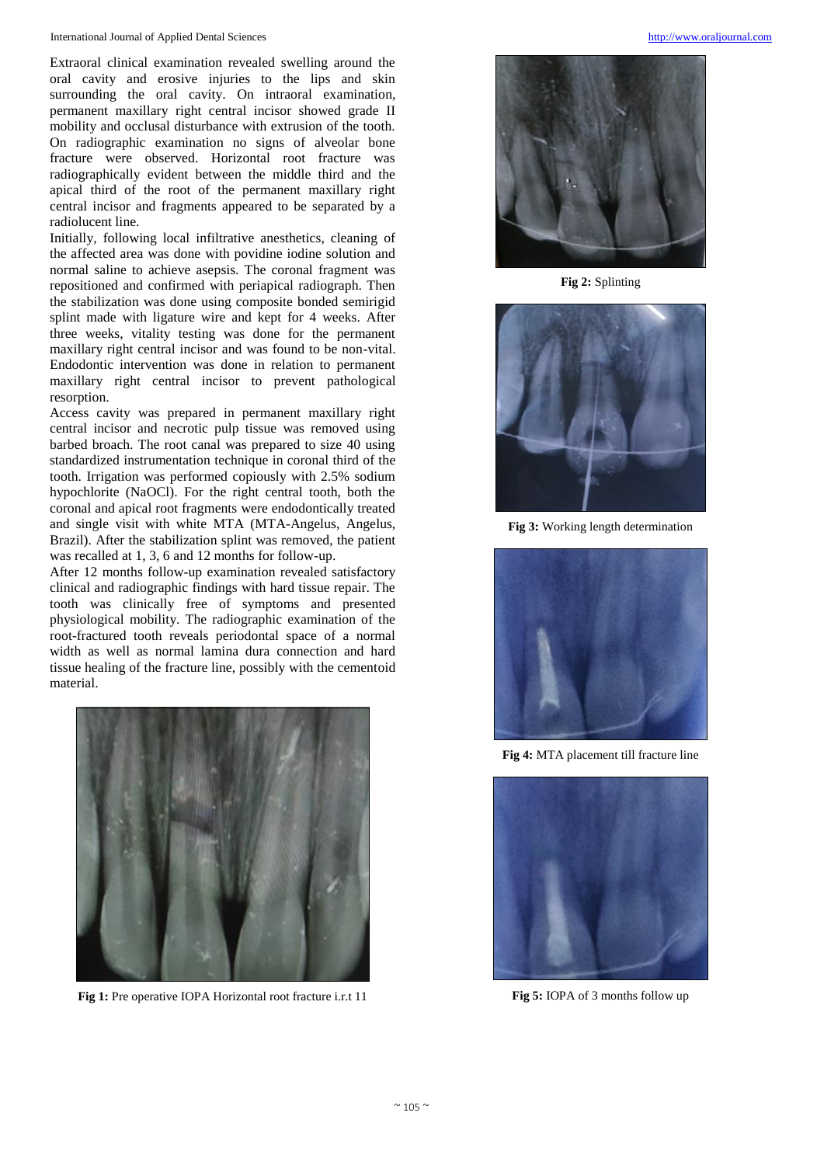Extraoral clinical examination revealed swelling around the oral cavity and erosive injuries to the lips and skin surrounding the oral cavity. On intraoral examination, permanent maxillary right central incisor showed grade II mobility and occlusal disturbance with extrusion of the tooth. On radiographic examination no signs of alveolar bone fracture were observed. Horizontal root fracture was radiographically evident between the middle third and the apical third of the root of the permanent maxillary right central incisor and fragments appeared to be separated by a radiolucent line.

Initially, following local infiltrative anesthetics, cleaning of the affected area was done with povidine iodine solution and normal saline to achieve asepsis. The coronal fragment was repositioned and confirmed with periapical radiograph. Then the stabilization was done using composite bonded semirigid splint made with ligature wire and kept for 4 weeks. After three weeks, vitality testing was done for the permanent maxillary right central incisor and was found to be non-vital. Endodontic intervention was done in relation to permanent maxillary right central incisor to prevent pathological resorption.

Access cavity was prepared in permanent maxillary right central incisor and necrotic pulp tissue was removed using barbed broach. The root canal was prepared to size 40 using standardized instrumentation technique in coronal third of the tooth. Irrigation was performed copiously with 2.5% sodium hypochlorite (NaOCl). For the right central tooth, both the coronal and apical root fragments were endodontically treated and single visit with white MTA (MTA-Angelus, Angelus, Brazil). After the stabilization splint was removed, the patient was recalled at 1, 3, 6 and 12 months for follow-up.

After 12 months follow-up examination revealed satisfactory clinical and radiographic findings with hard tissue repair. The tooth was clinically free of symptoms and presented physiological mobility. The radiographic examination of the root-fractured tooth reveals periodontal space of a normal width as well as normal lamina dura connection and hard tissue healing of the fracture line, possibly with the cementoid material.



**Fig 1:** Pre operative IOPA Horizontal root fracture i.r.t 11



**Fig 2:** Splinting



**Fig 3:** Working length determination



**Fig 4:** MTA placement till fracture line



**Fig 5:** IOPA of 3 months follow up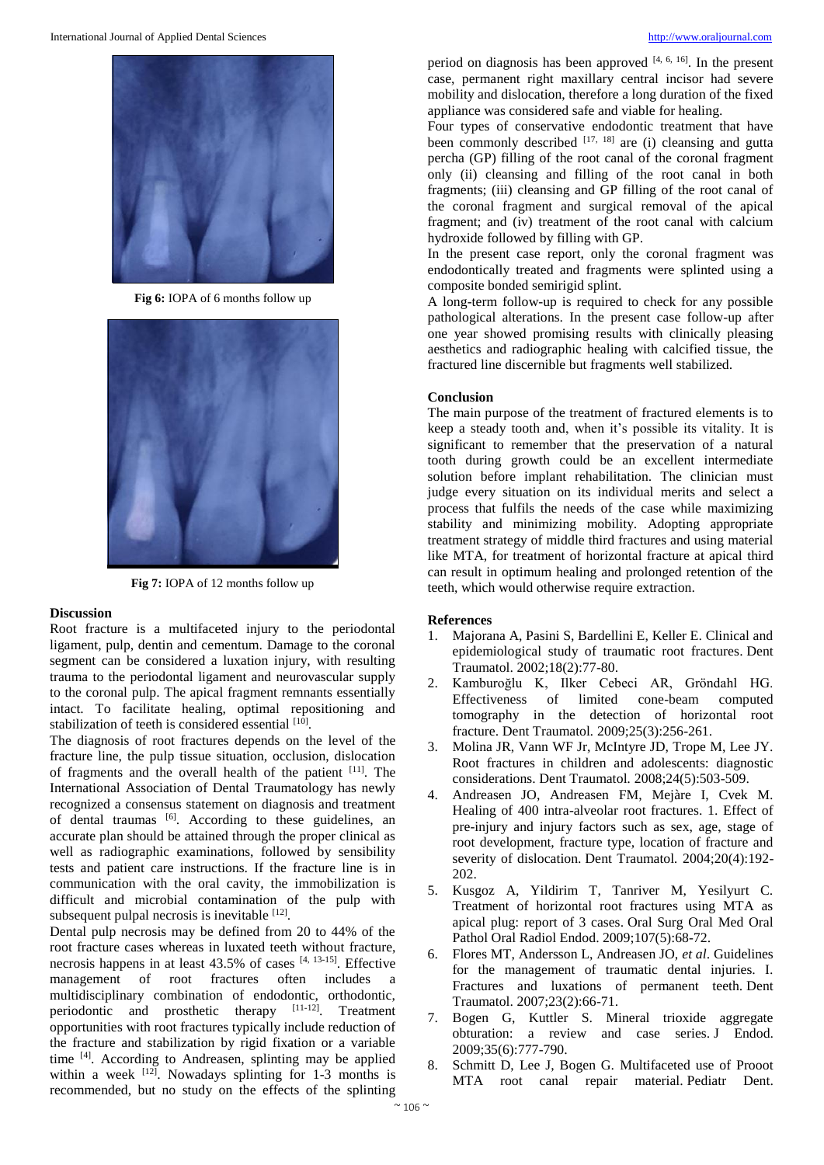

**Fig 6:** IOPA of 6 months follow up



**Fig 7:** IOPA of 12 months follow up

#### **Discussion**

Root fracture is a multifaceted injury to the periodontal ligament, pulp, dentin and cementum. Damage to the coronal segment can be considered a luxation injury, with resulting trauma to the periodontal ligament and neurovascular supply to the coronal pulp. The apical fragment remnants essentially intact. To facilitate healing, optimal repositioning and stabilization of teeth is considered essential [10].

The diagnosis of root fractures depends on the level of the fracture line, the pulp tissue situation, occlusion, dislocation of fragments and the overall health of the patient [11]. The International Association of Dental Traumatology has newly recognized a consensus statement on diagnosis and treatment of dental traumas [6]. According to these guidelines, an accurate plan should be attained through the proper clinical as well as radiographic examinations, followed by sensibility tests and patient care instructions. If the fracture line is in communication with the oral cavity, the immobilization is difficult and microbial contamination of the pulp with subsequent pulpal necrosis is inevitable  $[12]$ .

Dental pulp necrosis may be defined from 20 to 44% of the root fracture cases whereas in luxated teeth without fracture, necrosis happens in at least  $43.5\%$  of cases  $[4, 13-15]$ . Effective management of root fractures often includes a multidisciplinary combination of endodontic, orthodontic, periodontic and prosthetic therapy [11-12]. Treatment opportunities with root fractures typically include reduction of the fracture and stabilization by rigid fixation or a variable time [4]. According to Andreasen, splinting may be applied within a week  $[12]$ . Nowadays splinting for 1-3 months is recommended, but no study on the effects of the splinting

period on diagnosis has been approved  $[4, 6, 16]$ . In the present case, permanent right maxillary central incisor had severe mobility and dislocation, therefore a long duration of the fixed appliance was considered safe and viable for healing.

Four types of conservative endodontic treatment that have been commonly described  $[17, 18]$  are (i) cleansing and gutta percha (GP) filling of the root canal of the coronal fragment only (ii) cleansing and filling of the root canal in both fragments; (iii) cleansing and GP filling of the root canal of the coronal fragment and surgical removal of the apical fragment; and (iv) treatment of the root canal with calcium hydroxide followed by filling with GP.

In the present case report, only the coronal fragment was endodontically treated and fragments were splinted using a composite bonded semirigid splint.

A long-term follow-up is required to check for any possible pathological alterations. In the present case follow-up after one year showed promising results with clinically pleasing aesthetics and radiographic healing with calcified tissue, the fractured line discernible but fragments well stabilized.

#### **Conclusion**

The main purpose of the treatment of fractured elements is to keep a steady tooth and, when it's possible its vitality. It is significant to remember that the preservation of a natural tooth during growth could be an excellent intermediate solution before implant rehabilitation. The clinician must judge every situation on its individual merits and select a process that fulfils the needs of the case while maximizing stability and minimizing mobility. Adopting appropriate treatment strategy of middle third fractures and using material like MTA, for treatment of horizontal fracture at apical third can result in optimum healing and prolonged retention of the teeth, which would otherwise require extraction.

#### **References**

- 1. Majorana A, Pasini S, Bardellini E, Keller E. Clinical and epidemiological study of traumatic root fractures. Dent Traumatol. 2002;18(2):77-80.
- 2. Kamburoğlu K, Ilker Cebeci AR, Gröndahl HG. Effectiveness of limited cone-beam computed tomography in the detection of horizontal root fracture. Dent Traumatol*.* 2009;25(3):256-261.
- 3. Molina JR, Vann WF Jr, McIntyre JD, Trope M, Lee JY. Root fractures in children and adolescents: diagnostic considerations. Dent Traumatol*.* 2008;24(5):503-509.
- 4. Andreasen JO, Andreasen FM, Mejàre I, Cvek M. Healing of 400 intra-alveolar root fractures. 1. Effect of pre-injury and injury factors such as sex, age, stage of root development, fracture type, location of fracture and severity of dislocation. Dent Traumatol*.* 2004;20(4):192- 202.
- 5. Kusgoz A, Yildirim T, Tanriver M, Yesilyurt C. Treatment of horizontal root fractures using MTA as apical plug: report of 3 cases. Oral Surg Oral Med Oral Pathol Oral Radiol Endod. 2009;107(5):68-72.
- 6. Flores MT, Andersson L, Andreasen JO, *et al*. Guidelines for the management of traumatic dental injuries. I. Fractures and luxations of permanent teeth. Dent Traumatol. 2007;23(2):66-71.
- 7. Bogen G, Kuttler S. Mineral trioxide aggregate obturation: a review and case series. J Endod. 2009;35(6):777-790.
- 8. Schmitt D, Lee J, Bogen G. Multifaceted use of Prooot MTA root canal repair material. Pediatr Dent.